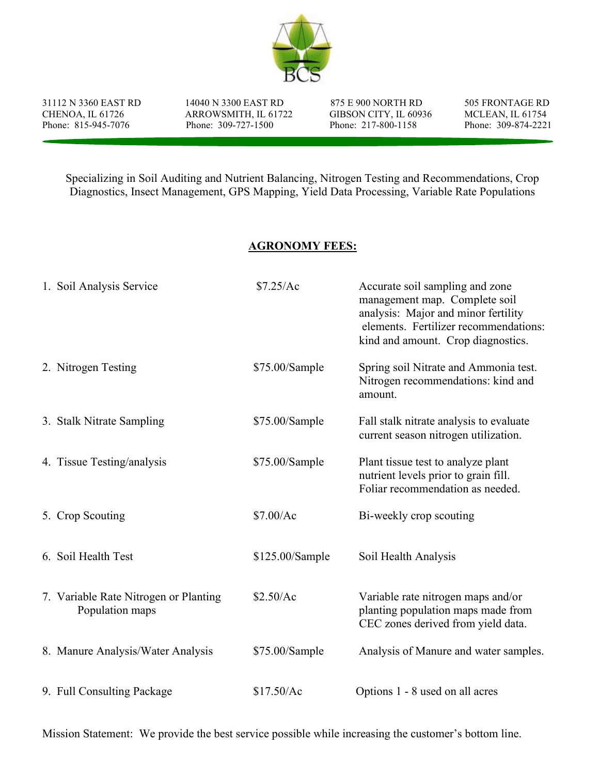

31112 N 3360 EAST RD 14040 N 3300 EAST RD 875 E 900 NORTH RD 505 FRONTAGE RD

CHENOA, IL 61726 ARROWSMITH, IL 61722 GIBSON CITY, IL 60936 MCLEAN, IL 61754<br>
Phone: 815-945-7076 Phone: 309-727-1500 Phone: 217-800-1158 Phone: 309-874-2221 Phone: 309-727-1500

Specializing in Soil Auditing and Nutrient Balancing, Nitrogen Testing and Recommendations, Crop Diagnostics, Insect Management, GPS Mapping, Yield Data Processing, Variable Rate Populations

## AGRONOMY FEES:

| 1. Soil Analysis Service                                 | \$7.25/Ac       | Accurate soil sampling and zone<br>management map. Complete soil<br>analysis: Major and minor fertility<br>elements. Fertilizer recommendations:<br>kind and amount. Crop diagnostics. |
|----------------------------------------------------------|-----------------|----------------------------------------------------------------------------------------------------------------------------------------------------------------------------------------|
| 2. Nitrogen Testing                                      | \$75.00/Sample  | Spring soil Nitrate and Ammonia test.<br>Nitrogen recommendations: kind and<br>amount.                                                                                                 |
| 3. Stalk Nitrate Sampling                                | \$75.00/Sample  | Fall stalk nitrate analysis to evaluate<br>current season nitrogen utilization.                                                                                                        |
| 4. Tissue Testing/analysis                               | \$75.00/Sample  | Plant tissue test to analyze plant<br>nutrient levels prior to grain fill.<br>Foliar recommendation as needed.                                                                         |
| 5. Crop Scouting                                         | \$7.00/Ac       | Bi-weekly crop scouting                                                                                                                                                                |
| 6. Soil Health Test                                      | \$125.00/Sample | Soil Health Analysis                                                                                                                                                                   |
| 7. Variable Rate Nitrogen or Planting<br>Population maps | \$2.50/Ac       | Variable rate nitrogen maps and/or<br>planting population maps made from<br>CEC zones derived from yield data.                                                                         |
| 8. Manure Analysis/Water Analysis                        | \$75.00/Sample  | Analysis of Manure and water samples.                                                                                                                                                  |
| 9. Full Consulting Package                               | \$17.50/Ac      | Options 1 - 8 used on all acres                                                                                                                                                        |

Mission Statement: We provide the best service possible while increasing the customer's bottom line.